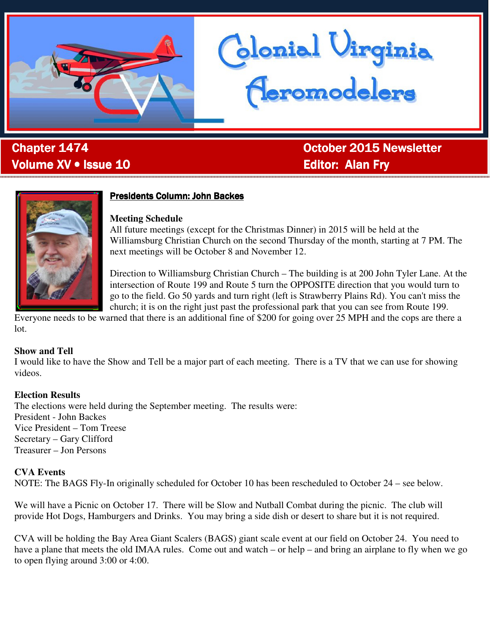

# -<br>to: Volume XV • Issue 10 **Editor: Alan Fry**

Chapter 1474 October 2015 Newsletter

blonial Virginia<br>Ceromodelers



### Presidents Column: John Backes

#### **Meeting Schedule**

All future meetings (except for the Christmas Dinner) in 2015 will be held at the Williamsburg Christian Church on the second Thursday of the month, starting at 7 PM. The next meetings will be October 8 and November 12.

Direction to Williamsburg Christian Church – The building is at 200 John Tyler Lane. At the intersection of Route 199 and Route 5 turn the OPPOSITE direction that you would turn to go to the field. Go 50 yards and turn right (left is Strawberry Plains Rd). You can't miss the church; it is on the right just past the professional park that you can see from Route 199.

Everyone needs to be warned that there is an additional fine of \$200 for going over 25 MPH and the cops are there a lot.

#### **Show and Tell**

I would like to have the Show and Tell be a major part of each meeting. There is a TV that we can use for showing videos.

### **Election Results**

The elections were held during the September meeting. The results were: President - John Backes Vice President – Tom Treese Secretary – Gary Clifford Treasurer – Jon Persons

### **CVA Events**

NOTE: The BAGS Fly-In originally scheduled for October 10 has been rescheduled to October 24 – see below.

We will have a Picnic on October 17. There will be Slow and Nutball Combat during the picnic. The club will provide Hot Dogs, Hamburgers and Drinks. You may bring a side dish or desert to share but it is not required.

CVA will be holding the Bay Area Giant Scalers (BAGS) giant scale event at our field on October 24. You need to have a plane that meets the old IMAA rules. Come out and watch – or help – and bring an airplane to fly when we go to open flying around 3:00 or 4:00.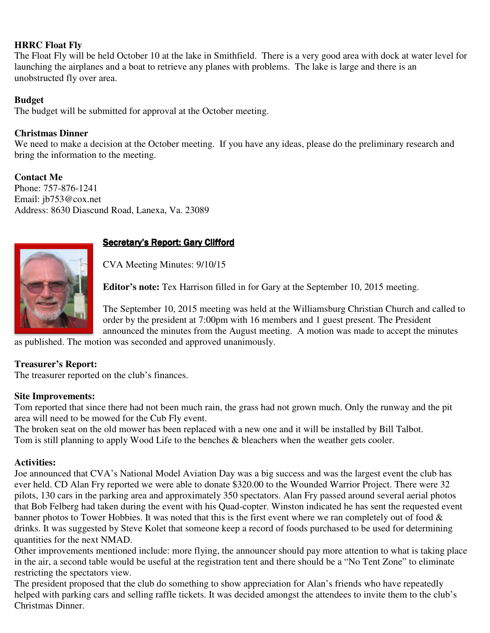### **HRRC Float Fly**

The Float Fly will be held October 10 at the lake in Smithfield. There is a very good area with dock at water level for launching the airplanes and a boat to retrieve any planes with problems. The lake is large and there is an unobstructed fly over area.

### **Budget**

The budget will be submitted for approval at the October meeting.

### **Christmas Dinner**

We need to make a decision at the October meeting. If you have any ideas, please do the preliminary research and bring the information to the meeting.

**Contact Me**  Phone: 757-876-1241 Email: jb753@cox.net Address: 8630 Diascund Road, Lanexa, Va. 23089



### Secretary's Report: Gary Clifford

CVA Meeting Minutes: 9/10/15

**Editor's note:** Tex Harrison filled in for Gary at the September 10, 2015 meeting.

The September 10, 2015 meeting was held at the Williamsburg Christian Church and called to order by the president at 7:00pm with 16 members and 1 guest present. The President announced the minutes from the August meeting. A motion was made to accept the minutes

as published. The motion was seconded and approved unanimously.

### **Treasurer's Report:**

The treasurer reported on the club's finances.

#### **Site Improvements:**

Tom reported that since there had not been much rain, the grass had not grown much. Only the runway and the pit area will need to be mowed for the Cub Fly event.

The broken seat on the old mower has been replaced with a new one and it will be installed by Bill Talbot. Tom is still planning to apply Wood Life to the benches & bleachers when the weather gets cooler.

#### **Activities:**

Joe announced that CVA's National Model Aviation Day was a big success and was the largest event the club has ever held. CD Alan Fry reported we were able to donate \$320.00 to the Wounded Warrior Project. There were 32 pilots, 130 cars in the parking area and approximately 350 spectators. Alan Fry passed around several aerial photos that Bob Felberg had taken during the event with his Quad-copter. Winston indicated he has sent the requested event banner photos to Tower Hobbies. It was noted that this is the first event where we ran completely out of food  $\&$ drinks. It was suggested by Steve Kolet that someone keep a record of foods purchased to be used for determining quantities for the next NMAD.

Other improvements mentioned include: more flying, the announcer should pay more attention to what is taking place in the air, a second table would be useful at the registration tent and there should be a "No Tent Zone" to eliminate restricting the spectators view.

The president proposed that the club do something to show appreciation for Alan's friends who have repeatedly helped with parking cars and selling raffle tickets. It was decided amongst the attendees to invite them to the club's Christmas Dinner.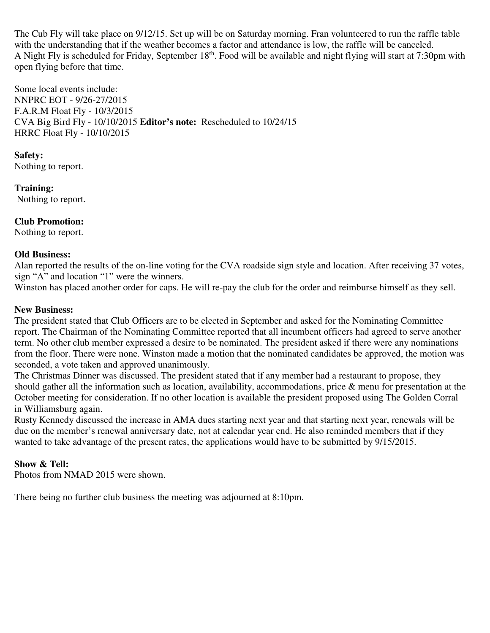The Cub Fly will take place on 9/12/15. Set up will be on Saturday morning. Fran volunteered to run the raffle table with the understanding that if the weather becomes a factor and attendance is low, the raffle will be canceled. A Night Fly is scheduled for Friday, September 18th. Food will be available and night flying will start at 7:30pm with open flying before that time.

Some local events include: NNPRC EOT - 9/26-27/2015 F.A.R.M Float Fly - 10/3/2015 CVA Big Bird Fly - 10/10/2015 **Editor's note:** Rescheduled to 10/24/15 HRRC Float Fly - 10/10/2015

### **Safety:**

Nothing to report.

**Training:**  Nothing to report.

### **Club Promotion:**

Nothing to report.

### **Old Business:**

Alan reported the results of the on-line voting for the CVA roadside sign style and location. After receiving 37 votes, sign "A" and location "1" were the winners.

Winston has placed another order for caps. He will re-pay the club for the order and reimburse himself as they sell.

### **New Business:**

The president stated that Club Officers are to be elected in September and asked for the Nominating Committee report. The Chairman of the Nominating Committee reported that all incumbent officers had agreed to serve another term. No other club member expressed a desire to be nominated. The president asked if there were any nominations from the floor. There were none. Winston made a motion that the nominated candidates be approved, the motion was seconded, a vote taken and approved unanimously.

The Christmas Dinner was discussed. The president stated that if any member had a restaurant to propose, they should gather all the information such as location, availability, accommodations, price & menu for presentation at the October meeting for consideration. If no other location is available the president proposed using The Golden Corral in Williamsburg again.

Rusty Kennedy discussed the increase in AMA dues starting next year and that starting next year, renewals will be due on the member's renewal anniversary date, not at calendar year end. He also reminded members that if they wanted to take advantage of the present rates, the applications would have to be submitted by 9/15/2015.

### **Show & Tell:**

Photos from NMAD 2015 were shown.

There being no further club business the meeting was adjourned at 8:10pm.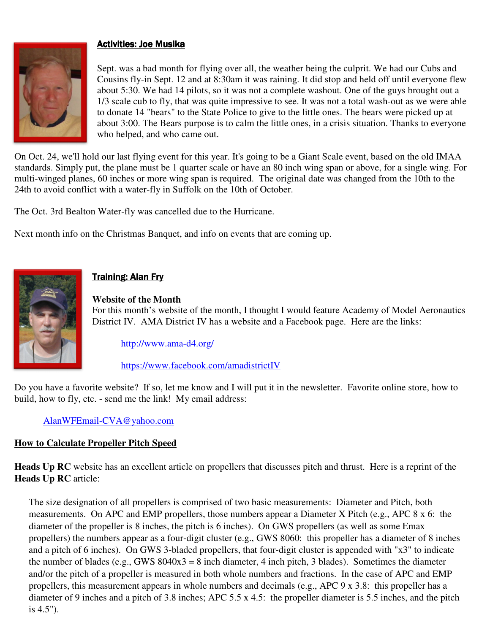### Activities: Joe Musika



Sept. was a bad month for flying over all, the weather being the culprit. We had our Cubs and Cousins fly-in Sept. 12 and at 8:30am it was raining. It did stop and held off until everyone flew about 5:30. We had 14 pilots, so it was not a complete washout. One of the guys brought out a 1/3 scale cub to fly, that was quite impressive to see. It was not a total wash-out as we were able to donate 14 "bears" to the State Police to give to the little ones. The bears were picked up at about 3:00. The Bears purpose is to calm the little ones, in a crisis situation. Thanks to everyone who helped, and who came out.

On Oct. 24, we'll hold our last flying event for this year. It's going to be a Giant Scale event, based on the old IMAA standards. Simply put, the plane must be 1 quarter scale or have an 80 inch wing span or above, for a single wing. For multi-winged planes, 60 inches or more wing span is required. The original date was changed from the 10th to the 24th to avoid conflict with a water-fly in Suffolk on the 10th of October.

The Oct. 3rd Bealton Water-fly was cancelled due to the Hurricane.

Next month info on the Christmas Banquet, and info on events that are coming up.



## Training: Alan Fry

#### **Website of the Month**

For this month's website of the month, I thought I would feature Academy of Model Aeronautics District IV. AMA District IV has a website and a Facebook page. Here are the links:

### http://www.ama-d4.org/

https://www.facebook.com/amadistrictIV

Do you have a favorite website? If so, let me know and I will put it in the newsletter. Favorite online store, how to build, how to fly, etc. - send me the link! My email address:

### AlanWFEmail-CVA@yahoo.com

### **How to Calculate Propeller Pitch Speed**

**Heads Up RC** website has an excellent article on propellers that discusses pitch and thrust. Here is a reprint of the **Heads Up RC** article:

The size designation of all propellers is comprised of two basic measurements: Diameter and Pitch, both measurements. On APC and EMP propellers, those numbers appear a Diameter X Pitch (e.g., APC 8 x 6: the diameter of the propeller is 8 inches, the pitch is 6 inches). On GWS propellers (as well as some Emax propellers) the numbers appear as a four-digit cluster (e.g., GWS 8060: this propeller has a diameter of 8 inches and a pitch of 6 inches). On GWS 3-bladed propellers, that four-digit cluster is appended with "x3" to indicate the number of blades (e.g., GWS  $8040x3 = 8$  inch diameter, 4 inch pitch, 3 blades). Sometimes the diameter and/or the pitch of a propeller is measured in both whole numbers and fractions. In the case of APC and EMP propellers, this measurement appears in whole numbers and decimals (e.g., APC 9 x 3.8: this propeller has a diameter of 9 inches and a pitch of 3.8 inches; APC 5.5 x 4.5: the propeller diameter is 5.5 inches, and the pitch is 4.5").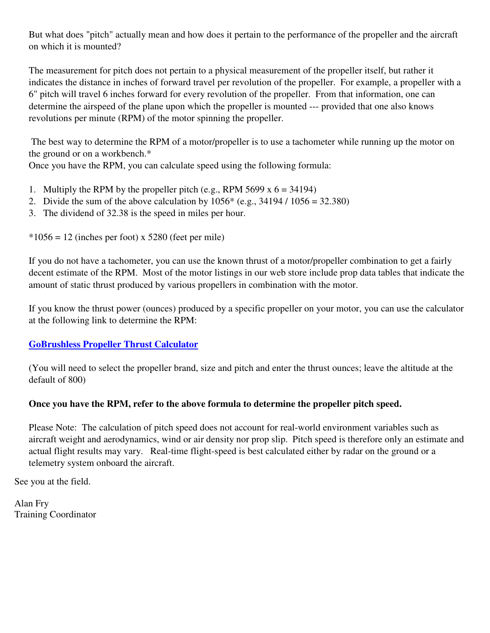But what does "pitch" actually mean and how does it pertain to the performance of the propeller and the aircraft on which it is mounted?

The measurement for pitch does not pertain to a physical measurement of the propeller itself, but rather it indicates the distance in inches of forward travel per revolution of the propeller. For example, a propeller with a 6" pitch will travel 6 inches forward for every revolution of the propeller. From that information, one can determine the airspeed of the plane upon which the propeller is mounted --- provided that one also knows revolutions per minute (RPM) of the motor spinning the propeller.

 The best way to determine the RPM of a motor/propeller is to use a tachometer while running up the motor on the ground or on a workbench.\*

Once you have the RPM, you can calculate speed using the following formula:

- 1. Multiply the RPM by the propeller pitch (e.g., RPM 5699 x  $6 = 34194$ )
- 2. Divide the sum of the above calculation by  $1056^*$  (e.g.,  $34194 / 1056 = 32.380$ )
- 3. The dividend of 32.38 is the speed in miles per hour.

 $*1056 = 12$  (inches per foot) x 5280 (feet per mile)

If you do not have a tachometer, you can use the known thrust of a motor/propeller combination to get a fairly decent estimate of the RPM. Most of the motor listings in our web store include prop data tables that indicate the amount of static thrust produced by various propellers in combination with the motor.

If you know the thrust power (ounces) produced by a specific propeller on your motor, you can use the calculator at the following link to determine the RPM:

### **GoBrushless Propeller Thrust Calculator**

(You will need to select the propeller brand, size and pitch and enter the thrust ounces; leave the altitude at the default of 800)

### **Once you have the RPM, refer to the above formula to determine the propeller pitch speed.**

Please Note: The calculation of pitch speed does not account for real-world environment variables such as aircraft weight and aerodynamics, wind or air density nor prop slip. Pitch speed is therefore only an estimate and actual flight results may vary. Real-time flight-speed is best calculated either by radar on the ground or a telemetry system onboard the aircraft.

See you at the field.

Alan Fry Training Coordinator